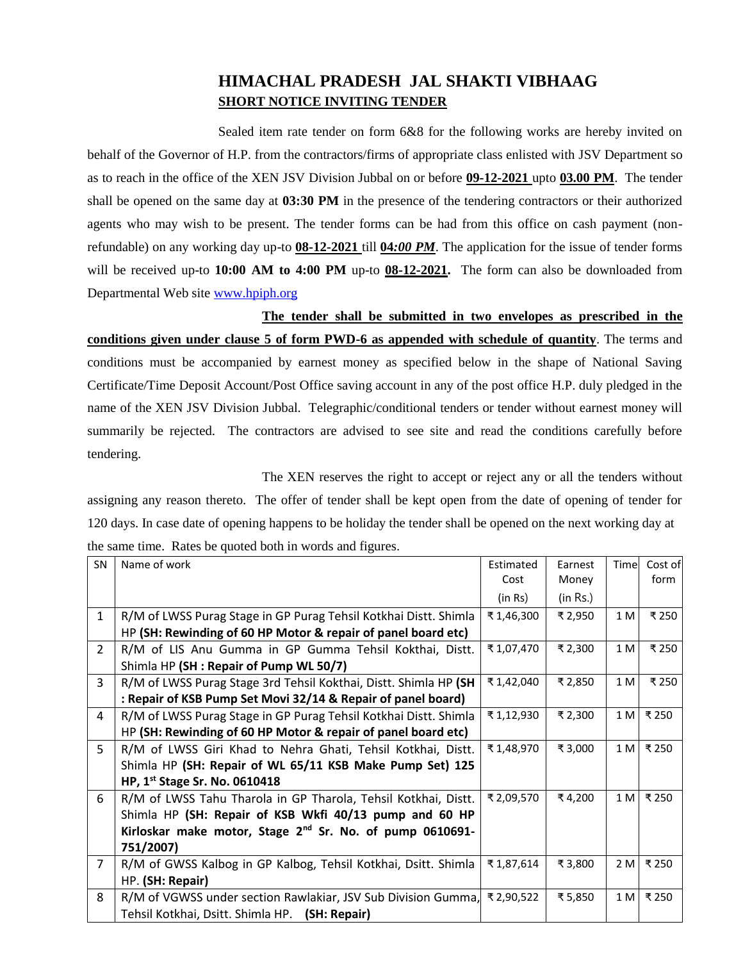## **HIMACHAL PRADESH JAL SHAKTI VIBHAAG SHORT NOTICE INVITING TENDER**

Sealed item rate tender on form 6&8 for the following works are hereby invited on behalf of the Governor of H.P. from the contractors/firms of appropriate class enlisted with JSV Department so as to reach in the office of the XEN JSV Division Jubbal on or before **09-12-2021** upto **03.00 PM**. The tender shall be opened on the same day at **03:30 PM** in the presence of the tendering contractors or their authorized agents who may wish to be present. The tender forms can be had from this office on cash payment (nonrefundable) on any working day up-to **08-12-2021** till **04***:00 PM*. The application for the issue of tender forms will be received up-to **10:00 AM to 4:00 PM** up-to **08-12-2021.** The form can also be downloaded from Departmental Web site [www.hpiph.org](http://www.hpiph.org/)

**The tender shall be submitted in two envelopes as prescribed in the conditions given under clause 5 of form PWD-6 as appended with schedule of quantity**. The terms and conditions must be accompanied by earnest money as specified below in the shape of National Saving Certificate/Time Deposit Account/Post Office saving account in any of the post office H.P. duly pledged in the name of the XEN JSV Division Jubbal. Telegraphic/conditional tenders or tender without earnest money will summarily be rejected. The contractors are advised to see site and read the conditions carefully before tendering.

The XEN reserves the right to accept or reject any or all the tenders without assigning any reason thereto. The offer of tender shall be kept open from the date of opening of tender for 120 days. In case date of opening happens to be holiday the tender shall be opened on the next working day at the same time. Rates be quoted both in words and figures.

| SN             | Name of work                                                         | Estimated  | Earnest  | Time  | Cost of |
|----------------|----------------------------------------------------------------------|------------|----------|-------|---------|
|                |                                                                      | Cost       | Money    |       | form    |
|                |                                                                      | (in Rs)    | (in Rs.) |       |         |
| $\mathbf{1}$   | R/M of LWSS Purag Stage in GP Purag Tehsil Kotkhai Distt. Shimla     | ₹1,46,300  | ₹ 2,950  | 1 M   | ₹250    |
|                | HP (SH: Rewinding of 60 HP Motor & repair of panel board etc)        |            |          |       |         |
| $\overline{2}$ | R/M of LIS Anu Gumma in GP Gumma Tehsil Kokthai, Distt.              | ₹ 1,07,470 | ₹ 2,300  | 1 M   | ₹ 250   |
|                | Shimla HP (SH: Repair of Pump WL 50/7)                               |            |          |       |         |
| 3              | R/M of LWSS Purag Stage 3rd Tehsil Kokthai, Distt. Shimla HP (SH     | ₹1,42,040  | ₹ 2,850  | 1 M   | ₹ 250   |
|                | : Repair of KSB Pump Set Movi 32/14 & Repair of panel board)         |            |          |       |         |
| 4              | R/M of LWSS Purag Stage in GP Purag Tehsil Kotkhai Distt. Shimla     | ₹1,12,930  | ₹ 2,300  | 1 M   | ₹ 250   |
|                | HP (SH: Rewinding of 60 HP Motor & repair of panel board etc)        |            |          |       |         |
| 5.             | R/M of LWSS Giri Khad to Nehra Ghati, Tehsil Kotkhai, Distt.         | ₹1,48,970  | ₹3,000   | 1 M   | ₹ 250   |
|                | Shimla HP (SH: Repair of WL 65/11 KSB Make Pump Set) 125             |            |          |       |         |
|                | HP, 1 <sup>st</sup> Stage Sr. No. 0610418                            |            |          |       |         |
| 6              | R/M of LWSS Tahu Tharola in GP Tharola, Tehsil Kotkhai, Distt.       | ₹ 2,09,570 | ₹4,200   | 1 M   | ₹ 250   |
|                | Shimla HP (SH: Repair of KSB Wkfi 40/13 pump and 60 HP               |            |          |       |         |
|                | Kirloskar make motor, Stage 2 <sup>nd</sup> Sr. No. of pump 0610691- |            |          |       |         |
|                | 751/2007)                                                            |            |          |       |         |
| $\overline{7}$ | R/M of GWSS Kalbog in GP Kalbog, Tehsil Kotkhai, Dsitt. Shimla       | ₹1,87,614  | ₹3,800   | $2$ M | ₹ 250   |
|                | HP. (SH: Repair)                                                     |            |          |       |         |
| 8              | R/M of VGWSS under section Rawlakiar, JSV Sub Division Gumma,        | ₹2,90,522  | ₹5,850   | 1 M   | ₹ 250   |
|                | Tehsil Kotkhai, Dsitt. Shimla HP. (SH: Repair)                       |            |          |       |         |